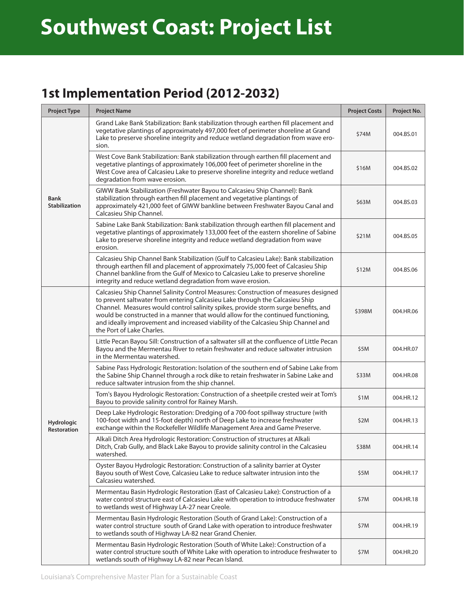#### **1st Implementation Period (2012-2032)**

| <b>Project Type</b>                 | <b>Project Name</b>                                                                                                                                                                                                                                                                                                                                                                                                                                             | <b>Project Costs</b> | Project No. |
|-------------------------------------|-----------------------------------------------------------------------------------------------------------------------------------------------------------------------------------------------------------------------------------------------------------------------------------------------------------------------------------------------------------------------------------------------------------------------------------------------------------------|----------------------|-------------|
| <b>Bank</b><br><b>Stabilization</b> | Grand Lake Bank Stabilization: Bank stabilization through earthen fill placement and<br>vegetative plantings of approximately 497,000 feet of perimeter shoreline at Grand<br>Lake to preserve shoreline integrity and reduce wetland degradation from wave ero-<br>sion.                                                                                                                                                                                       | \$74M                | 004.BS.01   |
|                                     | West Cove Bank Stabilization: Bank stabilization through earthen fill placement and<br>vegetative plantings of approximately 106,000 feet of perimeter shoreline in the<br>West Cove area of Calcasieu Lake to preserve shoreline integrity and reduce wetland<br>degradation from wave erosion.                                                                                                                                                                | \$16M                | 004.BS.02   |
|                                     | GIWW Bank Stabilization (Freshwater Bayou to Calcasieu Ship Channel): Bank<br>stabilization through earthen fill placement and vegetative plantings of<br>approximately 421,000 feet of GIWW bankline between Freshwater Bayou Canal and<br>Calcasieu Ship Channel.                                                                                                                                                                                             | \$63M                | 004.BS.03   |
|                                     | Sabine Lake Bank Stabilization: Bank stabilization through earthen fill placement and<br>vegetative plantings of approximately 133,000 feet of the eastern shoreline of Sabine<br>Lake to preserve shoreline integrity and reduce wetland degradation from wave<br>erosion.                                                                                                                                                                                     | \$21M                | 004.BS.05   |
|                                     | Calcasieu Ship Channel Bank Stabilization (Gulf to Calcasieu Lake): Bank stabilization<br>through earthen fill and placement of approximately 75,000 feet of Calcasieu Ship<br>Channel bankline from the Gulf of Mexico to Calcasieu Lake to preserve shoreline<br>integrity and reduce wetland degradation from wave erosion.                                                                                                                                  | \$12M                | 004.BS.06   |
|                                     | Calcasieu Ship Channel Salinity Control Measures: Construction of measures designed<br>to prevent saltwater from entering Calcasieu Lake through the Calcasieu Ship<br>Channel. Measures would control salinity spikes, provide storm surge benefits, and<br>would be constructed in a manner that would allow for the continued functioning,<br>and ideally improvement and increased viability of the Calcasieu Ship Channel and<br>the Port of Lake Charles. | \$398M               | 004.HR.06   |
|                                     | Little Pecan Bayou Sill: Construction of a saltwater sill at the confluence of Little Pecan<br>Bayou and the Mermentau River to retain freshwater and reduce saltwater intrusion<br>in the Mermentau watershed.                                                                                                                                                                                                                                                 | \$5M                 | 004.HR.07   |
|                                     | Sabine Pass Hydrologic Restoration: Isolation of the southern end of Sabine Lake from<br>the Sabine Ship Channel through a rock dike to retain freshwater in Sabine Lake and<br>reduce saltwater intrusion from the ship channel.                                                                                                                                                                                                                               | \$33M                | 004.HR.08   |
|                                     | Tom's Bayou Hydrologic Restoration: Construction of a sheetpile crested weir at Tom's<br>Bayou to provide salinity control for Rainey Marsh.                                                                                                                                                                                                                                                                                                                    | \$1M                 | 004.HR.12   |
| Hydrologic<br><b>Restoration</b>    | Deep Lake Hydrologic Restoration: Dredging of a 700-foot spillway structure (with<br>100-foot width and 15-foot depth) north of Deep Lake to increase freshwater<br>exchange within the Rockefeller Wildlife Management Area and Game Preserve.                                                                                                                                                                                                                 | \$2M                 | 004.HR.13   |
|                                     | Alkali Ditch Area Hydrologic Restoration: Construction of structures at Alkali<br>Ditch, Crab Gully, and Black Lake Bayou to provide salinity control in the Calcasieu<br>watershed.                                                                                                                                                                                                                                                                            | \$38M                | 004.HR.14   |
|                                     | Oyster Bayou Hydrologic Restoration: Construction of a salinity barrier at Oyster<br>Bayou south of West Cove, Calcasieu Lake to reduce saltwater intrusion into the<br>Calcasieu watershed.                                                                                                                                                                                                                                                                    | \$5M                 | 004.HR.17   |
|                                     | Mermentau Basin Hydrologic Restoration (East of Calcasieu Lake): Construction of a<br>water control structure east of Calcasieu Lake with operation to introduce freshwater<br>to wetlands west of Highway LA-27 near Creole.                                                                                                                                                                                                                                   | \$7M                 | 004.HR.18   |
|                                     | Mermentau Basin Hydrologic Restoration (South of Grand Lake): Construction of a<br>water control structure south of Grand Lake with operation to introduce freshwater<br>to wetlands south of Highway LA-82 near Grand Chenier.                                                                                                                                                                                                                                 | \$7M                 | 004.HR.19   |
|                                     | Mermentau Basin Hydrologic Restoration (South of White Lake): Construction of a<br>water control structure south of White Lake with operation to introduce freshwater to<br>wetlands south of Highway LA-82 near Pecan Island.                                                                                                                                                                                                                                  | \$7M                 | 004.HR.20   |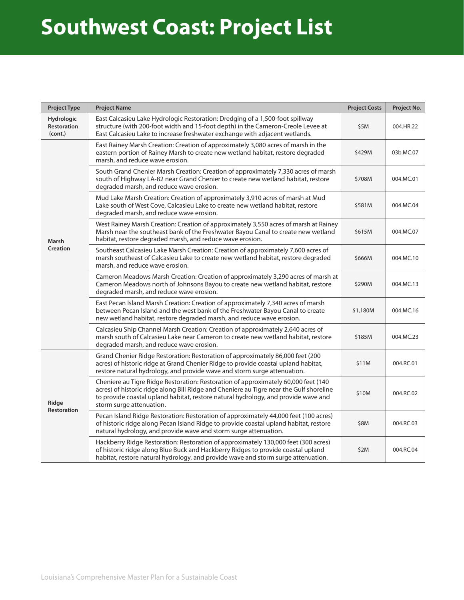# **Southwest Coast: Project List**

| <b>Project Type</b>                         | <b>Project Name</b>                                                                                                                                                                                                                                                                             | <b>Project Costs</b> | Project No. |
|---------------------------------------------|-------------------------------------------------------------------------------------------------------------------------------------------------------------------------------------------------------------------------------------------------------------------------------------------------|----------------------|-------------|
| <b>Hydrologic</b><br>Restoration<br>(cont.) | East Calcasieu Lake Hydrologic Restoration: Dredging of a 1,500-foot spillway<br>structure (with 200-foot width and 15-foot depth) in the Cameron-Creole Levee at<br>East Calcasieu Lake to increase freshwater exchange with adjacent wetlands.                                                | \$5M                 | 004.HR.22   |
|                                             | East Rainey Marsh Creation: Creation of approximately 3,080 acres of marsh in the<br>eastern portion of Rainey Marsh to create new wetland habitat, restore degraded<br>marsh, and reduce wave erosion.                                                                                         | \$429M               | 03b.MC.07   |
|                                             | South Grand Chenier Marsh Creation: Creation of approximately 7,330 acres of marsh<br>south of Highway LA-82 near Grand Chenier to create new wetland habitat, restore<br>degraded marsh, and reduce wave erosion.                                                                              | \$708M               | 004.MC.01   |
|                                             | Mud Lake Marsh Creation: Creation of approximately 3,910 acres of marsh at Mud<br>Lake south of West Cove, Calcasieu Lake to create new wetland habitat, restore<br>degraded marsh, and reduce wave erosion.                                                                                    | \$581M               | 004.MC.04   |
| Marsh                                       | West Rainey Marsh Creation: Creation of approximately 3,550 acres of marsh at Rainey<br>Marsh near the southeast bank of the Freshwater Bayou Canal to create new wetland<br>habitat, restore degraded marsh, and reduce wave erosion.                                                          | \$615M               | 004.MC.07   |
| Creation                                    | Southeast Calcasieu Lake Marsh Creation: Creation of approximately 7,600 acres of<br>marsh southeast of Calcasieu Lake to create new wetland habitat, restore degraded<br>marsh, and reduce wave erosion.                                                                                       | \$666M               | 004.MC.10   |
|                                             | Cameron Meadows Marsh Creation: Creation of approximately 3,290 acres of marsh at<br>Cameron Meadows north of Johnsons Bayou to create new wetland habitat, restore<br>degraded marsh, and reduce wave erosion.                                                                                 | \$290M               | 004.MC.13   |
|                                             | East Pecan Island Marsh Creation: Creation of approximately 7,340 acres of marsh<br>between Pecan Island and the west bank of the Freshwater Bayou Canal to create<br>new wetland habitat, restore degraded marsh, and reduce wave erosion.                                                     | \$1,180M             | 004.MC.16   |
|                                             | Calcasieu Ship Channel Marsh Creation: Creation of approximately 2,640 acres of<br>marsh south of Calcasieu Lake near Cameron to create new wetland habitat, restore<br>degraded marsh, and reduce wave erosion.                                                                                | \$185M               | 004.MC.23   |
|                                             | Grand Chenier Ridge Restoration: Restoration of approximately 86,000 feet (200<br>acres) of historic ridge at Grand Chenier Ridge to provide coastal upland habitat,<br>restore natural hydrology, and provide wave and storm surge attenuation.                                                | \$11M                | 004.RC.01   |
| Ridge<br><b>Restoration</b>                 | Cheniere au Tigre Ridge Restoration: Restoration of approximately 60,000 feet (140<br>acres) of historic ridge along Bill Ridge and Cheniere au Tigre near the Gulf shoreline<br>to provide coastal upland habitat, restore natural hydrology, and provide wave and<br>storm surge attenuation. | \$10M                | 004.RC.02   |
|                                             | Pecan Island Ridge Restoration: Restoration of approximately 44,000 feet (100 acres)<br>of historic ridge along Pecan Island Ridge to provide coastal upland habitat, restore<br>natural hydrology, and provide wave and storm surge attenuation.                                               | \$8M                 | 004.RC.03   |
|                                             | Hackberry Ridge Restoration: Restoration of approximately 130,000 feet (300 acres)<br>of historic ridge along Blue Buck and Hackberry Ridges to provide coastal upland<br>habitat, restore natural hydrology, and provide wave and storm surge attenuation.                                     | \$2M                 | 004.RC.04   |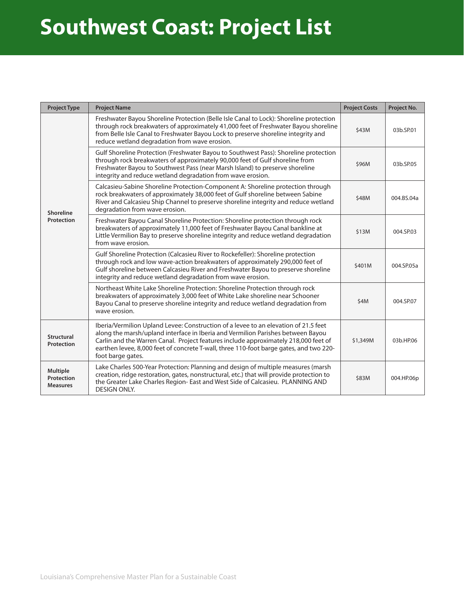### **Southwest Coast: Project List**

| <b>Project Type</b>                              | <b>Project Name</b>                                                                                                                                                                                                                                                                                                                                                          | <b>Project Costs</b> | Project No. |
|--------------------------------------------------|------------------------------------------------------------------------------------------------------------------------------------------------------------------------------------------------------------------------------------------------------------------------------------------------------------------------------------------------------------------------------|----------------------|-------------|
|                                                  | Freshwater Bayou Shoreline Protection (Belle Isle Canal to Lock): Shoreline protection<br>through rock breakwaters of approximately 41,000 feet of Freshwater Bayou shoreline<br>from Belle Isle Canal to Freshwater Bayou Lock to preserve shoreline integrity and<br>reduce wetland degradation from wave erosion.                                                         | \$43M                | 03b.SP.01   |
|                                                  | Gulf Shoreline Protection (Freshwater Bayou to Southwest Pass): Shoreline protection<br>through rock breakwaters of approximately 90,000 feet of Gulf shoreline from<br>Freshwater Bayou to Southwest Pass (near Marsh Island) to preserve shoreline<br>integrity and reduce wetland degradation from wave erosion.                                                          | \$96M                | 03b.SP.05   |
| Shoreline                                        | Calcasieu-Sabine Shoreline Protection-Component A: Shoreline protection through<br>rock breakwaters of approximately 38,000 feet of Gulf shoreline between Sabine<br>River and Calcasieu Ship Channel to preserve shoreline integrity and reduce wetland<br>degradation from wave erosion.                                                                                   | \$48M                | 004.BS.04a  |
| Protection                                       | Freshwater Bayou Canal Shoreline Protection: Shoreline protection through rock<br>breakwaters of approximately 11,000 feet of Freshwater Bayou Canal bankline at<br>Little Vermilion Bay to preserve shoreline integrity and reduce wetland degradation<br>from wave erosion.                                                                                                | \$13M                | 004.SP.03   |
|                                                  | Gulf Shoreline Protection (Calcasieu River to Rockefeller): Shoreline protection<br>through rock and low wave-action breakwaters of approximately 290,000 feet of<br>Gulf shoreline between Calcasieu River and Freshwater Bayou to preserve shoreline<br>integrity and reduce wetland degradation from wave erosion.                                                        | \$401M               | 004.SP.05a  |
|                                                  | Northeast White Lake Shoreline Protection: Shoreline Protection through rock<br>breakwaters of approximately 3,000 feet of White Lake shoreline near Schooner<br>Bayou Canal to preserve shoreline integrity and reduce wetland degradation from<br>wave erosion.                                                                                                            | \$4M                 | 004.SP.07   |
| <b>Structural</b><br>Protection                  | Iberia/Vermilion Upland Levee: Construction of a levee to an elevation of 21.5 feet<br>along the marsh/upland interface in Iberia and Vermilion Parishes between Bayou<br>Carlin and the Warren Canal. Project features include approximately 218,000 feet of<br>earthen levee, 8,000 feet of concrete T-wall, three 110-foot barge gates, and two 220-<br>foot barge gates. | \$1,349M             | 03b.HP.06   |
| <b>Multiple</b><br>Protection<br><b>Measures</b> | Lake Charles 500-Year Protection: Planning and design of multiple measures (marsh<br>creation, ridge restoration, gates, nonstructural, etc.) that will provide protection to<br>the Greater Lake Charles Region- East and West Side of Calcasieu. PLANNING AND<br><b>DESIGN ONLY.</b>                                                                                       | \$83M                | 004.HP.06p  |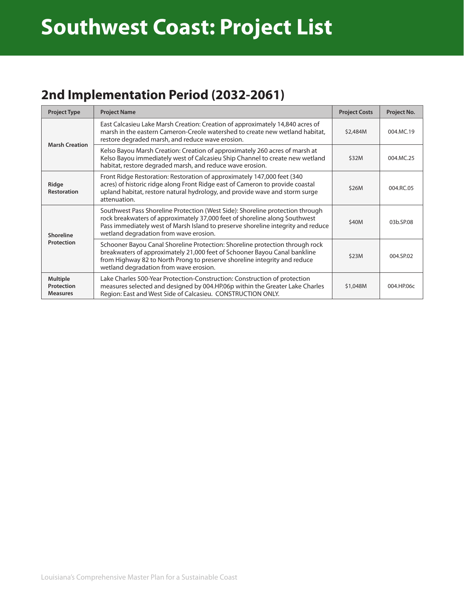### **2nd Implementation Period (2032-2061)**

| <b>Project Type</b>                              | <b>Project Name</b>                                                                                                                                                                                                                                                                       | <b>Project Costs</b> | Project No. |
|--------------------------------------------------|-------------------------------------------------------------------------------------------------------------------------------------------------------------------------------------------------------------------------------------------------------------------------------------------|----------------------|-------------|
|                                                  | East Calcasieu Lake Marsh Creation: Creation of approximately 14,840 acres of<br>marsh in the eastern Cameron-Creole watershed to create new wetland habitat,<br>restore degraded marsh, and reduce wave erosion.                                                                         | \$2,484M             | 004.MC.19   |
| <b>Marsh Creation</b>                            | Kelso Bayou Marsh Creation: Creation of approximately 260 acres of marsh at<br>Kelso Bayou immediately west of Calcasieu Ship Channel to create new wetland<br>habitat, restore degraded marsh, and reduce wave erosion.                                                                  | \$32M                | 004.MC.25   |
| Ridge<br><b>Restoration</b>                      | Front Ridge Restoration: Restoration of approximately 147,000 feet (340<br>acres) of historic ridge along Front Ridge east of Cameron to provide coastal<br>upland habitat, restore natural hydrology, and provide wave and storm surge<br>attenuation.                                   | \$26M                | 004.RC.05   |
| Shoreline<br>Protection                          | Southwest Pass Shoreline Protection (West Side): Shoreline protection through<br>rock breakwaters of approximately 37,000 feet of shoreline along Southwest<br>Pass immediately west of Marsh Island to preserve shoreline integrity and reduce<br>wetland degradation from wave erosion. | \$40M                | 03b.SP.08   |
|                                                  | Schooner Bayou Canal Shoreline Protection: Shoreline protection through rock<br>breakwaters of approximately 21,000 feet of Schooner Bayou Canal bankline<br>from Highway 82 to North Prong to preserve shoreline integrity and reduce<br>wetland degradation from wave erosion.          | \$23M                | 004.SP.02   |
| <b>Multiple</b><br>Protection<br><b>Measures</b> | Lake Charles 500-Year Protection-Construction: Construction of protection<br>measures selected and designed by 004.HP.06p within the Greater Lake Charles<br>Region: East and West Side of Calcasieu. CONSTRUCTION ONLY.                                                                  | \$1,048M             | 004.HP.06c  |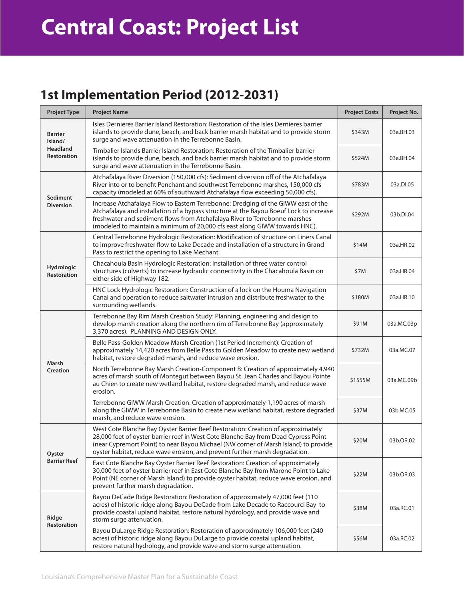### **Central Coast: Project List**

#### **1st Implementation Period (2012-2031)**

| <b>Project Type</b>                   | <b>Project Name</b>                                                                                                                                                                                                                                                                                                                           | <b>Project Costs</b> | Project No. |
|---------------------------------------|-----------------------------------------------------------------------------------------------------------------------------------------------------------------------------------------------------------------------------------------------------------------------------------------------------------------------------------------------|----------------------|-------------|
| <b>Barrier</b><br>Island/             | Isles Dernieres Barrier Island Restoration: Restoration of the Isles Dernieres barrier<br>islands to provide dune, beach, and back barrier marsh habitat and to provide storm<br>surge and wave attenuation in the Terrebonne Basin.                                                                                                          | \$343M               | 03a.BH.03   |
| <b>Headland</b><br><b>Restoration</b> | Timbalier Islands Barrier Island Restoration: Restoration of the Timbalier barrier<br>islands to provide dune, beach, and back barrier marsh habitat and to provide storm<br>surge and wave attenuation in the Terrebonne Basin.                                                                                                              | \$524M               | 03a.BH.04   |
|                                       | Atchafalaya River Diversion (150,000 cfs): Sediment diversion off of the Atchafalaya<br>River into or to benefit Penchant and southwest Terrebonne marshes, 150,000 cfs<br>capacity (modeled at 60% of southward Atchafalaya flow exceeding 50,000 cfs).                                                                                      | \$783M               | 03a.DI.05   |
| Sediment<br><b>Diversion</b>          | Increase Atchafalaya Flow to Eastern Terrebonne: Dredging of the GIWW east of the<br>Atchafalaya and installation of a bypass structure at the Bayou Boeuf Lock to increase<br>freshwater and sediment flows from Atchafalaya River to Terrebonne marshes<br>(modeled to maintain a minimum of 20,000 cfs east along GIWW towards HNC).       | \$292M               | 03b.DI.04   |
|                                       | Central Terrebonne Hydrologic Restoration: Modification of structure on Liners Canal<br>to improve freshwater flow to Lake Decade and installation of a structure in Grand<br>Pass to restrict the opening to Lake Mechant.                                                                                                                   | \$14M                | 03a.HR.02   |
| Hydrologic<br><b>Restoration</b>      | Chacahoula Basin Hydrologic Restoration: Installation of three water control<br>structures (culverts) to increase hydraulic connectivity in the Chacahoula Basin on<br>either side of Highway 182.                                                                                                                                            | \$7M                 | 03a.HR.04   |
|                                       | HNC Lock Hydrologic Restoration: Construction of a lock on the Houma Navigation<br>Canal and operation to reduce saltwater intrusion and distribute freshwater to the<br>surrounding wetlands.                                                                                                                                                | \$180M               | 03a.HR.10   |
|                                       | Terrebonne Bay Rim Marsh Creation Study: Planning, engineering and design to<br>develop marsh creation along the northern rim of Terrebonne Bay (approximately<br>3,370 acres). PLANNING AND DESIGN ONLY.                                                                                                                                     | \$91M                | 03a.MC.03p  |
|                                       | Belle Pass-Golden Meadow Marsh Creation (1st Period Increment): Creation of<br>approximately 14,420 acres from Belle Pass to Golden Meadow to create new wetland<br>habitat, restore degraded marsh, and reduce wave erosion.                                                                                                                 | \$732M               | 03a.MC.07   |
| <b>Marsh</b><br>Creation              | North Terrebonne Bay Marsh Creation-Component B: Creation of approximately 4,940<br>acres of marsh south of Montegut between Bayou St. Jean Charles and Bayou Pointe<br>au Chien to create new wetland habitat, restore degraded marsh, and reduce wave<br>erosion.                                                                           | \$1555M              | 03a.MC.09b  |
|                                       | Terrebonne GIWW Marsh Creation: Creation of approximately 1,190 acres of marsh<br>along the GIWW in Terrebonne Basin to create new wetland habitat, restore degraded<br>marsh, and reduce wave erosion.                                                                                                                                       | \$37M                | 03b.MC.05   |
| Oyster                                | West Cote Blanche Bay Oyster Barrier Reef Restoration: Creation of approximately<br>28,000 feet of oyster barrier reef in West Cote Blanche Bay from Dead Cypress Point<br>(near Cypremort Point) to near Bayou Michael (NW corner of Marsh Island) to provide<br>oyster habitat, reduce wave erosion, and prevent further marsh degradation. | \$20M                | 03b.OR.02   |
| <b>Barrier Reef</b>                   | East Cote Blanche Bay Oyster Barrier Reef Restoration: Creation of approximately<br>30,000 feet of oyster barrier reef in East Cote Blanche Bay from Marone Point to Lake<br>Point (NE corner of Marsh Island) to provide oyster habitat, reduce wave erosion, and<br>prevent further marsh degradation.                                      | \$22M                | 03b.OR.03   |
| Ridge                                 | Bayou DeCade Ridge Restoration: Restoration of approximately 47,000 feet (110<br>acres) of historic ridge along Bayou DeCade from Lake Decade to Raccourci Bay to<br>provide coastal upland habitat, restore natural hydrology, and provide wave and<br>storm surge attenuation.                                                              | \$38M                | 03a.RC.01   |
| Restoration                           | Bayou DuLarge Ridge Restoration: Restoration of approximately 106,000 feet (240<br>acres) of historic ridge along Bayou DuLarge to provide coastal upland habitat,<br>restore natural hydrology, and provide wave and storm surge attenuation.                                                                                                | \$56M                | 03a.RC.02   |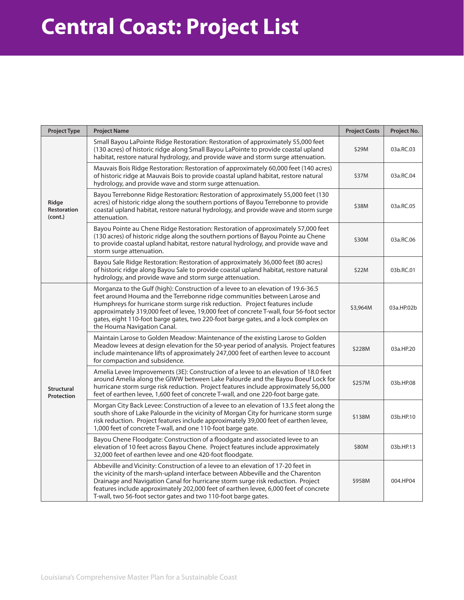### **Central Coast: Project List**

| <b>Project Type</b>             | <b>Project Name</b>                                                                                                                                                                                                                                                                                                                                                                                                                                             | <b>Project Costs</b> | Project No. |
|---------------------------------|-----------------------------------------------------------------------------------------------------------------------------------------------------------------------------------------------------------------------------------------------------------------------------------------------------------------------------------------------------------------------------------------------------------------------------------------------------------------|----------------------|-------------|
| Ridge<br>Restoration<br>(cont.) | Small Bayou LaPointe Ridge Restoration: Restoration of approximately 55,000 feet<br>(130 acres) of historic ridge along Small Bayou LaPointe to provide coastal upland<br>habitat, restore natural hydrology, and provide wave and storm surge attenuation.                                                                                                                                                                                                     | \$29M                | 03a.RC.03   |
|                                 | Mauvais Bois Ridge Restoration: Restoration of approximately 60,000 feet (140 acres)<br>of historic ridge at Mauvais Bois to provide coastal upland habitat, restore natural<br>hydrology, and provide wave and storm surge attenuation.                                                                                                                                                                                                                        | \$37M                | 03a.RC.04   |
|                                 | Bayou Terrebonne Ridge Restoration: Restoration of approximately 55,000 feet (130<br>acres) of historic ridge along the southern portions of Bayou Terrebonne to provide<br>coastal upland habitat, restore natural hydrology, and provide wave and storm surge<br>attenuation.                                                                                                                                                                                 | \$38M                | 03a.RC.05   |
|                                 | Bayou Pointe au Chene Ridge Restoration: Restoration of approximately 57,000 feet<br>(130 acres) of historic ridge along the southern portions of Bayou Pointe au Chene<br>to provide coastal upland habitat, restore natural hydrology, and provide wave and<br>storm surge attenuation.                                                                                                                                                                       | \$30M                | 03a.RC.06   |
|                                 | Bayou Sale Ridge Restoration: Restoration of approximately 36,000 feet (80 acres)<br>of historic ridge along Bayou Sale to provide coastal upland habitat, restore natural<br>hydrology, and provide wave and storm surge attenuation.                                                                                                                                                                                                                          | \$22M                | 03b.RC.01   |
|                                 | Morganza to the Gulf (high): Construction of a levee to an elevation of 19.6-36.5<br>feet around Houma and the Terrebonne ridge communities between Larose and<br>Humphreys for hurricane storm surge risk reduction. Project features include<br>approximately 319,000 feet of levee, 19,000 feet of concrete T-wall, four 56-foot sector<br>gates, eight 110-foot barge gates, two 220-foot barge gates, and a lock complex on<br>the Houma Navigation Canal. | \$3,964M             | 03a.HP.02b  |
|                                 | Maintain Larose to Golden Meadow: Maintenance of the existing Larose to Golden<br>Meadow levees at design elevation for the 50-year period of analysis. Project features<br>include maintenance lifts of approximately 247,000 feet of earthen levee to account<br>for compaction and subsidence.                                                                                                                                                               | \$228M               | 03a.HP.20   |
| <b>Structural</b><br>Protection | Amelia Levee Improvements (3E): Construction of a levee to an elevation of 18.0 feet<br>around Amelia along the GIWW between Lake Palourde and the Bayou Boeuf Lock for<br>hurricane storm surge risk reduction. Project features include approximately 56,000<br>feet of earthen levee, 1,600 feet of concrete T-wall, and one 220-foot barge gate.                                                                                                            | \$257M               | 03b.HP.08   |
|                                 | Morgan City Back Levee: Construction of a levee to an elevation of 13.5 feet along the<br>south shore of Lake Palourde in the vicinity of Morgan City for hurricane storm surge<br>risk reduction. Project features include approximately 39,000 feet of earthen levee,<br>1,000 feet of concrete T-wall, and one 110-foot barge gate.                                                                                                                          | \$138M               | 03b.HP.10   |
|                                 | Bayou Chene Floodgate: Construction of a floodgate and associated levee to an<br>elevation of 10 feet across Bayou Chene. Project features include approximately<br>32,000 feet of earthen levee and one 420-foot floodgate.                                                                                                                                                                                                                                    | \$80M                | 03b.HP.13   |
|                                 | Abbeville and Vicinity: Construction of a levee to an elevation of 17-20 feet in<br>the vicinity of the marsh-upland interface between Abbeville and the Charenton<br>Drainage and Navigation Canal for hurricane storm surge risk reduction. Project<br>features include approximately 202,000 feet of earthen levee, 6,000 feet of concrete<br>T-wall, two 56-foot sector gates and two 110-foot barge gates.                                                 | \$958M               | 004.HP04    |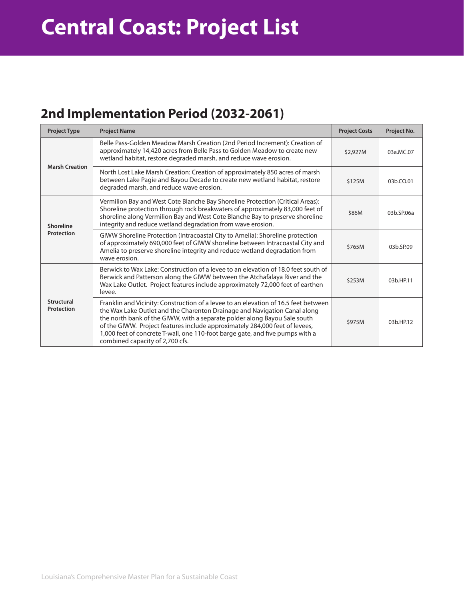### **2nd Implementation Period (2032-2061)**

| <b>Project Type</b>      | <b>Project Name</b>                                                                                                                                                                                                                                                                                                                                                                                                                              | <b>Project Costs</b> | Project No. |
|--------------------------|--------------------------------------------------------------------------------------------------------------------------------------------------------------------------------------------------------------------------------------------------------------------------------------------------------------------------------------------------------------------------------------------------------------------------------------------------|----------------------|-------------|
| <b>Marsh Creation</b>    | Belle Pass-Golden Meadow Marsh Creation (2nd Period Increment): Creation of<br>approximately 14,420 acres from Belle Pass to Golden Meadow to create new<br>wetland habitat, restore degraded marsh, and reduce wave erosion.                                                                                                                                                                                                                    | \$2,927M             | 03a.MC.07   |
|                          | North Lost Lake Marsh Creation: Creation of approximately 850 acres of marsh<br>between Lake Pagie and Bayou Decade to create new wetland habitat, restore<br>degraded marsh, and reduce wave erosion.                                                                                                                                                                                                                                           | \$125M               | 03b.CO.01   |
| Shoreline                | Vermilion Bay and West Cote Blanche Bay Shoreline Protection (Critical Areas):<br>Shoreline protection through rock breakwaters of approximately 83,000 feet of<br>shoreline along Vermilion Bay and West Cote Blanche Bay to preserve shoreline<br>integrity and reduce wetland degradation from wave erosion.                                                                                                                                  | \$86M                | 03b.SP.06a  |
| Protection               | GIWW Shoreline Protection (Intracoastal City to Amelia): Shoreline protection<br>of approximately 690,000 feet of GIWW shoreline between Intracoastal City and<br>Amelia to preserve shoreline integrity and reduce wetland degradation from<br>wave erosion.                                                                                                                                                                                    | \$765M               | 03b.SP.09   |
|                          | Berwick to Wax Lake: Construction of a levee to an elevation of 18.0 feet south of<br>Berwick and Patterson along the GIWW between the Atchafalaya River and the<br>Wax Lake Outlet. Project features include approximately 72,000 feet of earthen<br>levee.                                                                                                                                                                                     | \$253M               | 03b.HP.11   |
| Structural<br>Protection | Franklin and Vicinity: Construction of a levee to an elevation of 16.5 feet between<br>the Wax Lake Outlet and the Charenton Drainage and Navigation Canal along<br>the north bank of the GIWW, with a separate polder along Bayou Sale south<br>of the GIWW. Project features include approximately 284,000 feet of levees,<br>1,000 feet of concrete T-wall, one 110-foot barge gate, and five pumps with a<br>combined capacity of 2,700 cfs. | \$975M               | 03b.HP.12   |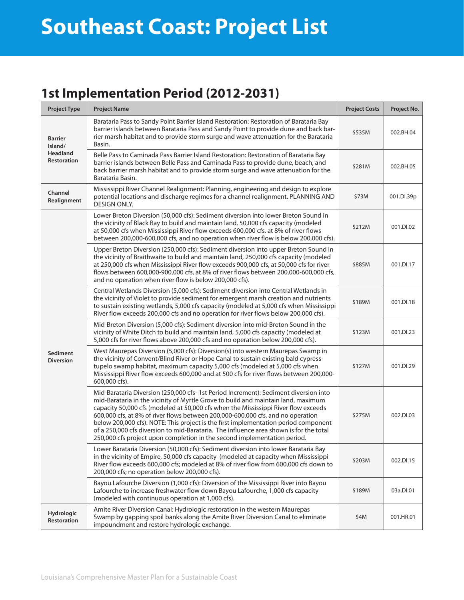# **Southeast Coast: Project List**

### **1st Implementation Period (2012-2031)**

| <b>Project Type</b>                                         | <b>Project Name</b>                                                                                                                                                                                                                                                                                                                                                                                                                                                                                                                                                                                             | <b>Project Costs</b> | Project No. |
|-------------------------------------------------------------|-----------------------------------------------------------------------------------------------------------------------------------------------------------------------------------------------------------------------------------------------------------------------------------------------------------------------------------------------------------------------------------------------------------------------------------------------------------------------------------------------------------------------------------------------------------------------------------------------------------------|----------------------|-------------|
| <b>Barrier</b><br>Island/<br>Headland<br><b>Restoration</b> | Barataria Pass to Sandy Point Barrier Island Restoration: Restoration of Barataria Bay<br>barrier islands between Barataria Pass and Sandy Point to provide dune and back bar-<br>rier marsh habitat and to provide storm surge and wave attenuation for the Barataria<br>Basin.                                                                                                                                                                                                                                                                                                                                | \$535M               | 002.BH.04   |
|                                                             | Belle Pass to Caminada Pass Barrier Island Restoration: Restoration of Barataria Bay<br>barrier islands between Belle Pass and Caminada Pass to provide dune, beach, and<br>back barrier marsh habitat and to provide storm surge and wave attenuation for the<br>Barataria Basin.                                                                                                                                                                                                                                                                                                                              | \$281M               | 002.BH.05   |
| Channel<br>Realignment                                      | Mississippi River Channel Realignment: Planning, engineering and design to explore<br>potential locations and discharge regimes for a channel realignment. PLANNING AND<br><b>DESIGN ONLY.</b>                                                                                                                                                                                                                                                                                                                                                                                                                  | \$73M                | 001.DI.39p  |
|                                                             | Lower Breton Diversion (50,000 cfs): Sediment diversion into lower Breton Sound in<br>the vicinity of Black Bay to build and maintain land, 50,000 cfs capacity (modeled<br>at 50,000 cfs when Mississippi River flow exceeds 600,000 cfs, at 8% of river flows<br>between 200,000-600,000 cfs, and no operation when river flow is below 200,000 cfs).                                                                                                                                                                                                                                                         | \$212M               | 001.DI.02   |
|                                                             | Upper Breton Diversion (250,000 cfs): Sediment diversion into upper Breton Sound in<br>the vicinity of Braithwaite to build and maintain land, 250,000 cfs capacity (modeled<br>at 250,000 cfs when Mississippi River flow exceeds 900,000 cfs, at 50,000 cfs for river<br>flows between 600,000-900,000 cfs, at 8% of river flows between 200,000-600,000 cfs,<br>and no operation when river flow is below 200,000 cfs).                                                                                                                                                                                      | \$885M               | 001.DI.17   |
|                                                             | Central Wetlands Diversion (5,000 cfs): Sediment diversion into Central Wetlands in<br>the vicinity of Violet to provide sediment for emergent marsh creation and nutrients<br>to sustain existing wetlands, 5,000 cfs capacity (modeled at 5,000 cfs when Mississippi<br>River flow exceeds 200,000 cfs and no operation for river flows below 200,000 cfs).                                                                                                                                                                                                                                                   | \$189M               | 001.DI.18   |
|                                                             | Mid-Breton Diversion (5,000 cfs): Sediment diversion into mid-Breton Sound in the<br>vicinity of White Ditch to build and maintain land, 5,000 cfs capacity (modeled at<br>5,000 cfs for river flows above 200,000 cfs and no operation below 200,000 cfs).                                                                                                                                                                                                                                                                                                                                                     | \$123M               | 001.DI.23   |
| <b>Sediment</b><br><b>Diversion</b>                         | West Maurepas Diversion (5,000 cfs): Diversion(s) into western Maurepas Swamp in<br>the vicinity of Convent/Blind River or Hope Canal to sustain existing bald cypress-<br>tupelo swamp habitat, maximum capacity 5,000 cfs (modeled at 5,000 cfs when<br>Mississippi River flow exceeds 600,000 and at 500 cfs for river flows between 200,000-<br>600,000 cfs).                                                                                                                                                                                                                                               | \$127M               | 001.DI.29   |
|                                                             | Mid-Barataria Diversion (250,000 cfs- 1st Period Increment): Sediment diversion into<br>mid-Barataria in the vicinity of Myrtle Grove to build and maintain land, maximum<br>capacity 50,000 cfs (modeled at 50,000 cfs when the Mississippi River flow exceeds<br>600,000 cfs, at 8% of river flows between 200,000-600,000 cfs, and no operation<br>below 200,000 cfs). NOTE: This project is the first implementation period component<br>of a 250,000 cfs diversion to mid-Barataria. The influence area shown is for the total<br>250,000 cfs project upon completion in the second implementation period. | \$275M               | 002.DI.03   |
|                                                             | Lower Barataria Diversion (50,000 cfs): Sediment diversion into lower Barataria Bay<br>in the vicinity of Empire, 50,000 cfs capacity (modeled at capacity when Mississippi<br>River flow exceeds 600,000 cfs; modeled at 8% of river flow from 600,000 cfs down to<br>200,000 cfs; no operation below 200,000 cfs).                                                                                                                                                                                                                                                                                            | \$203M               | 002.DI.15   |
|                                                             | Bayou Lafourche Diversion (1,000 cfs): Diversion of the Mississippi River into Bayou<br>Lafourche to increase freshwater flow down Bayou Lafourche, 1,000 cfs capacity<br>(modeled with continuous operation at 1,000 cfs).                                                                                                                                                                                                                                                                                                                                                                                     | \$189M               | 03a.DI.01   |
| Hydrologic<br>Restoration                                   | Amite River Diversion Canal: Hydrologic restoration in the western Maurepas<br>Swamp by gapping spoil banks along the Amite River Diversion Canal to eliminate<br>impoundment and restore hydrologic exchange.                                                                                                                                                                                                                                                                                                                                                                                                  | \$4M                 | 001.HR.01   |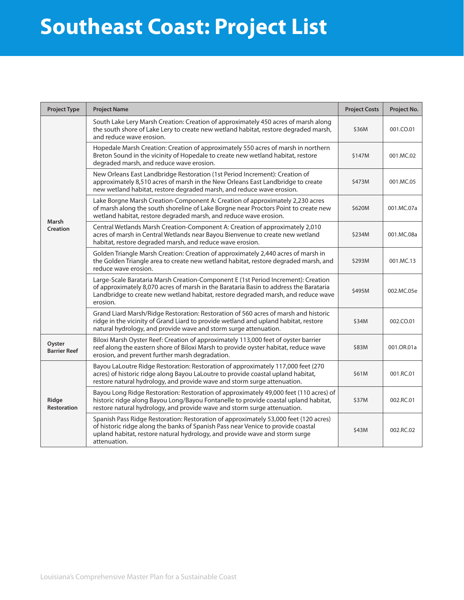## **Southeast Coast: Project List**

| <b>Project Type</b>           | <b>Project Name</b>                                                                                                                                                                                                                                                         | <b>Project Costs</b> | Project No. |
|-------------------------------|-----------------------------------------------------------------------------------------------------------------------------------------------------------------------------------------------------------------------------------------------------------------------------|----------------------|-------------|
|                               | South Lake Lery Marsh Creation: Creation of approximately 450 acres of marsh along<br>the south shore of Lake Lery to create new wetland habitat, restore degraded marsh,<br>and reduce wave erosion.                                                                       | \$36M                | 001.CO.01   |
|                               | Hopedale Marsh Creation: Creation of approximately 550 acres of marsh in northern<br>Breton Sound in the vicinity of Hopedale to create new wetland habitat, restore<br>degraded marsh, and reduce wave erosion.                                                            | \$147M               | 001.MC.02   |
|                               | New Orleans East Landbridge Restoration (1st Period Increment): Creation of<br>approximately 8,510 acres of marsh in the New Orleans East Landbridge to create<br>new wetland habitat, restore degraded marsh, and reduce wave erosion.                                     | \$473M               | 001.MC.05   |
| Marsh                         | Lake Borgne Marsh Creation-Component A: Creation of approximately 2,230 acres<br>of marsh along the south shoreline of Lake Borgne near Proctors Point to create new<br>wetland habitat, restore degraded marsh, and reduce wave erosion.                                   | \$620M               | 001.MC.07a  |
| Creation                      | Central Wetlands Marsh Creation-Component A: Creation of approximately 2,010<br>acres of marsh in Central Wetlands near Bayou Bienvenue to create new wetland<br>habitat, restore degraded marsh, and reduce wave erosion.                                                  | \$234M               | 001.MC.08a  |
|                               | Golden Triangle Marsh Creation: Creation of approximately 2,440 acres of marsh in<br>the Golden Triangle area to create new wetland habitat, restore degraded marsh, and<br>reduce wave erosion.                                                                            | \$293M               | 001.MC.13   |
|                               | Large-Scale Barataria Marsh Creation-Component E (1st Period Increment): Creation<br>of approximately 8,070 acres of marsh in the Barataria Basin to address the Barataria<br>Landbridge to create new wetland habitat, restore degraded marsh, and reduce wave<br>erosion. | \$495M               | 002.MC.05e  |
|                               | Grand Liard Marsh/Ridge Restoration: Restoration of 560 acres of marsh and historic<br>ridge in the vicinity of Grand Liard to provide wetland and upland habitat, restore<br>natural hydrology, and provide wave and storm surge attenuation.                              | \$34M                | 002.CO.01   |
| Oyster<br><b>Barrier Reef</b> | Biloxi Marsh Oyster Reef: Creation of approximately 113,000 feet of oyster barrier<br>reef along the eastern shore of Biloxi Marsh to provide oyster habitat, reduce wave<br>erosion, and prevent further marsh degradation.                                                | \$83M                | 001.OR.01a  |
|                               | Bayou LaLoutre Ridge Restoration: Restoration of approximately 117,000 feet (270<br>acres) of historic ridge along Bayou LaLoutre to provide coastal upland habitat,<br>restore natural hydrology, and provide wave and storm surge attenuation.                            | \$61M                | 001.RC.01   |
| Ridge<br><b>Restoration</b>   | Bayou Long Ridge Restoration: Restoration of approximately 49,000 feet (110 acres) of<br>historic ridge along Bayou Long/Bayou Fontanelle to provide coastal upland habitat,<br>restore natural hydrology, and provide wave and storm surge attenuation.                    | \$37M                | 002.RC.01   |
|                               | Spanish Pass Ridge Restoration: Restoration of approximately 53,000 feet (120 acres)<br>of historic ridge along the banks of Spanish Pass near Venice to provide coastal<br>upland habitat, restore natural hydrology, and provide wave and storm surge<br>attenuation.     | \$43M                | 002.RC.02   |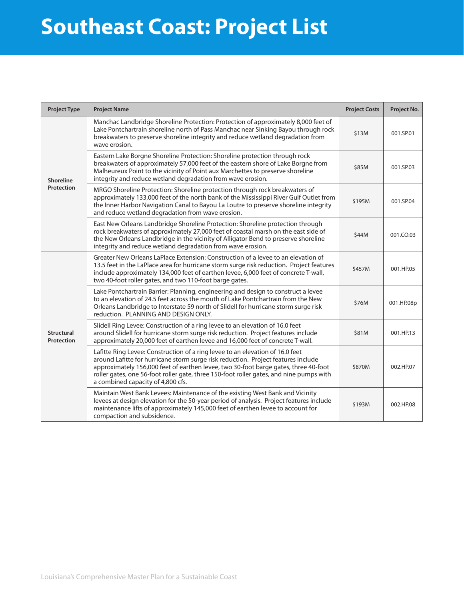### **Southeast Coast: Project List** Massessier

| <b>Project Type</b>            | <b>Project Name</b>                                                                                                                                                                                                                                                                                                                                                                       | <b>Project Costs</b> | Project No. |
|--------------------------------|-------------------------------------------------------------------------------------------------------------------------------------------------------------------------------------------------------------------------------------------------------------------------------------------------------------------------------------------------------------------------------------------|----------------------|-------------|
| <b>Shoreline</b><br>Protection | Manchac Landbridge Shoreline Protection: Protection of approximately 8,000 feet of<br>Lake Pontchartrain shoreline north of Pass Manchac near Sinking Bayou through rock<br>breakwaters to preserve shoreline integrity and reduce wetland degradation from<br>wave erosion.                                                                                                              | \$13M                | 001.SP.01   |
|                                | Eastern Lake Borgne Shoreline Protection: Shoreline protection through rock<br>breakwaters of approximately 57,000 feet of the eastern shore of Lake Borgne from<br>Malheureux Point to the vicinity of Point aux Marchettes to preserve shoreline<br>integrity and reduce wetland degradation from wave erosion.                                                                         | \$85M                | 001.SP.03   |
|                                | MRGO Shoreline Protection: Shoreline protection through rock breakwaters of<br>approximately 133,000 feet of the north bank of the Mississippi River Gulf Outlet from<br>the Inner Harbor Navigation Canal to Bayou La Loutre to preserve shoreline integrity<br>and reduce wetland degradation from wave erosion.                                                                        | \$195M               | 001.SP.04   |
|                                | East New Orleans Landbridge Shoreline Protection: Shoreline protection through<br>rock breakwaters of approximately 27,000 feet of coastal marsh on the east side of<br>the New Orleans Landbridge in the vicinity of Alligator Bend to preserve shoreline<br>integrity and reduce wetland degradation from wave erosion.                                                                 | \$44M                | 001.CO.03   |
|                                | Greater New Orleans LaPlace Extension: Construction of a levee to an elevation of<br>13.5 feet in the LaPlace area for hurricane storm surge risk reduction. Project features<br>include approximately 134,000 feet of earthen levee, 6,000 feet of concrete T-wall,<br>two 40-foot roller gates, and two 110-foot barge gates.                                                           | \$457M               | 001.HP.05   |
|                                | Lake Pontchartrain Barrier: Planning, engineering and design to construct a levee<br>to an elevation of 24.5 feet across the mouth of Lake Pontchartrain from the New<br>Orleans Landbridge to Interstate 59 north of Slidell for hurricane storm surge risk<br>reduction. PLANNING AND DESIGN ONLY.                                                                                      | \$76M                | 001.HP.08p  |
| Structural<br>Protection       | Slidell Ring Levee: Construction of a ring levee to an elevation of 16.0 feet<br>around Slidell for hurricane storm surge risk reduction. Project features include<br>approximately 20,000 feet of earthen levee and 16,000 feet of concrete T-wall.                                                                                                                                      | \$81M                | 001.HP.13   |
|                                | Lafitte Ring Levee: Construction of a ring levee to an elevation of 16.0 feet<br>around Lafitte for hurricane storm surge risk reduction. Project features include<br>approximately 156,000 feet of earthen levee, two 30-foot barge gates, three 40-foot<br>roller gates, one 56-foot roller gate, three 150-foot roller gates, and nine pumps with<br>a combined capacity of 4,800 cfs. | \$870M               | 002.HP.07   |
|                                | Maintain West Bank Levees: Maintenance of the existing West Bank and Vicinity<br>levees at design elevation for the 50-year period of analysis. Project features include<br>maintenance lifts of approximately 145,000 feet of earthen levee to account for<br>compaction and subsidence.                                                                                                 | \$193M               | 002.HP.08   |